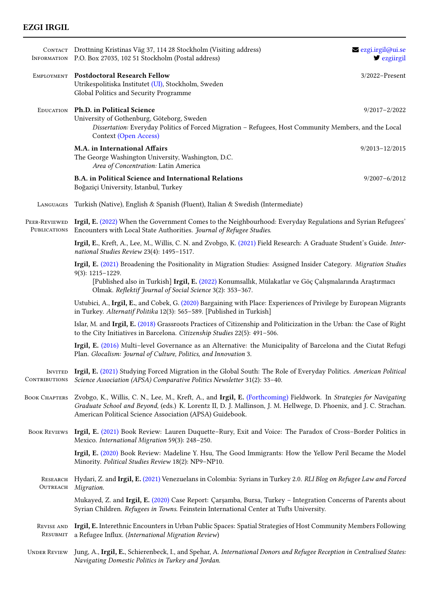## EZGI IRGIL

|                        | CONTACT Drottning Kristinas Väg 37, 114 28 Stockholm (Visiting address)<br>INFORMATION P.O. Box 27035, 102 51 Stockholm (Postal address)                                                                                                                                                                    | ezgi.irgil@ui.se<br>$\blacktriangleright$ ezgürgil |  |
|------------------------|-------------------------------------------------------------------------------------------------------------------------------------------------------------------------------------------------------------------------------------------------------------------------------------------------------------|----------------------------------------------------|--|
|                        | EMPLOYMENT Postdoctoral Research Fellow<br>Utrikespolitiska Institutet (UI), Stockholm, Sweden<br>Global Politics and Security Programme                                                                                                                                                                    | $3/2022$ -Present                                  |  |
|                        | EDUCATION Ph.D. in Political Science<br>University of Gothenburg, Göteborg, Sweden                                                                                                                                                                                                                          | $9/2017 - 2/2022$                                  |  |
|                        | Dissertation: Everyday Politics of Forced Migration - Refugees, Host Community Members, and the Local<br><b>Context (Open Access)</b>                                                                                                                                                                       |                                                    |  |
|                        | M.A. in International Affairs<br>The George Washington University, Washington, D.C.<br>Area of Concentration: Latin America                                                                                                                                                                                 | $9/2013 - 12/2015$                                 |  |
|                        | B.A. in Political Science and International Relations<br>Boğaziçi University, Istanbul, Turkey                                                                                                                                                                                                              | $9/2007 - 6/2012$                                  |  |
| LANGUAGES              | Turkish (Native), English & Spanish (Fluent), Italian & Swedish (Intermediate)                                                                                                                                                                                                                              |                                                    |  |
| PUBLICATIONS           | PEER-REVIEWED Irgil, E. (2022) When the Government Comes to the Neighbourhood: Everyday Regulations and Syrian Refugees'<br>Encounters with Local State Authorities. Journal of Refugee Studies.                                                                                                            |                                                    |  |
|                        | Irgil, E., Kreft, A., Lee, M., Willis, C. N. and Zvobgo, K. (2021) Field Research: A Graduate Student's Guide. Inter-<br>national Studies Review 23(4): 1495-1517.                                                                                                                                          |                                                    |  |
|                        | Irgil, E. (2021) Broadening the Positionality in Migration Studies: Assigned Insider Category. Migration Studies<br>9(3): 1215-1229.<br>[Published also in Turkish] Irgil, E. (2022) Konumsallık, Mülakatlar ve Göç Çalışmalarında Araştırmacı<br>Olmak. Reflektif Journal of Social Science 3(2): 353-367. |                                                    |  |
|                        | Ustubici, A., Irgil, E., and Cobek, G. (2020) Bargaining with Place: Experiences of Privilege by European Migrants<br>in Turkey. Alternatif Politika 12(3): 565-589. [Published in Turkish]                                                                                                                 |                                                    |  |
|                        | Islar, M. and Irgil, E. (2018) Grassroots Practices of Citizenship and Politicization in the Urban: the Case of Right<br>to the City Initiatives in Barcelona. Citizenship Studies 22(5): 491-506.                                                                                                          |                                                    |  |
|                        | Irgil, E. (2016) Multi-level Governance as an Alternative: the Municipality of Barcelona and the Ciutat Refugi<br>Plan. Glocalism: Journal of Culture, Politics, and Innovation 3.                                                                                                                          |                                                    |  |
| CONTRIBUTIONS          | INVITED Irgil, E. (2021) Studying Forced Migration in the Global South: The Role of Everyday Politics. American Political<br>Science Association (APSA) Comparative Politics Newsletter 31(2): 33-40.                                                                                                       |                                                    |  |
| <b>BOOK CHAPTERS</b>   | Zvobgo, K., Willis, C. N., Lee, M., Kreft, A., and Irgil, E. (Forthcoming) Fieldwork. In Strategies for Navigating<br>Graduate School and Beyond, (eds.) K. Lorentz II, D. J. Mallinson, J. M. Hellwege, D. Phoenix, and J. C. Strachan.<br>American Political Science Association (APSA) Guidebook.        |                                                    |  |
| <b>BOOK REVIEWS</b>    | Irgil, E. (2021) Book Review: Lauren Duquette-Rury, Exit and Voice: The Paradox of Cross-Border Politics in<br>Mexico. International Migration 59(3): 248-250.                                                                                                                                              |                                                    |  |
|                        | Irgil, E. (2020) Book Review: Madeline Y. Hsu, The Good Immigrants: How the Yellow Peril Became the Model<br>Minority. Political Studies Review 18(2): NP9-NP10.                                                                                                                                            |                                                    |  |
| OUTREACH               | RESEARCH Hydari, Z. and Irgil, E. (2021) Venezuelans in Colombia: Syrians in Turkey 2.0. RLI Blog on Refugee Law and Forced<br>Migration.                                                                                                                                                                   |                                                    |  |
|                        | Mukayed, Z. and Irgil, E. (2020) Case Report: Çarşamba, Bursa, Turkey - Integration Concerns of Parents about<br>Syrian Children. Refugees in Towns. Feinstein International Center at Tufts University.                                                                                                    |                                                    |  |
| REVISE AND<br>RESUBMIT | Irgil, E. Interethnic Encounters in Urban Public Spaces: Spatial Strategies of Host Community Members Following<br>a Refugee Influx. (International Migration Review)                                                                                                                                       |                                                    |  |
| <b>UNDER REVIEW</b>    | Jung, A., Irgil, E., Schierenbeck, I., and Spehar, A. International Donors and Refugee Reception in Centralised States:<br>Navigating Domestic Politics in Turkey and Jordan.                                                                                                                               |                                                    |  |